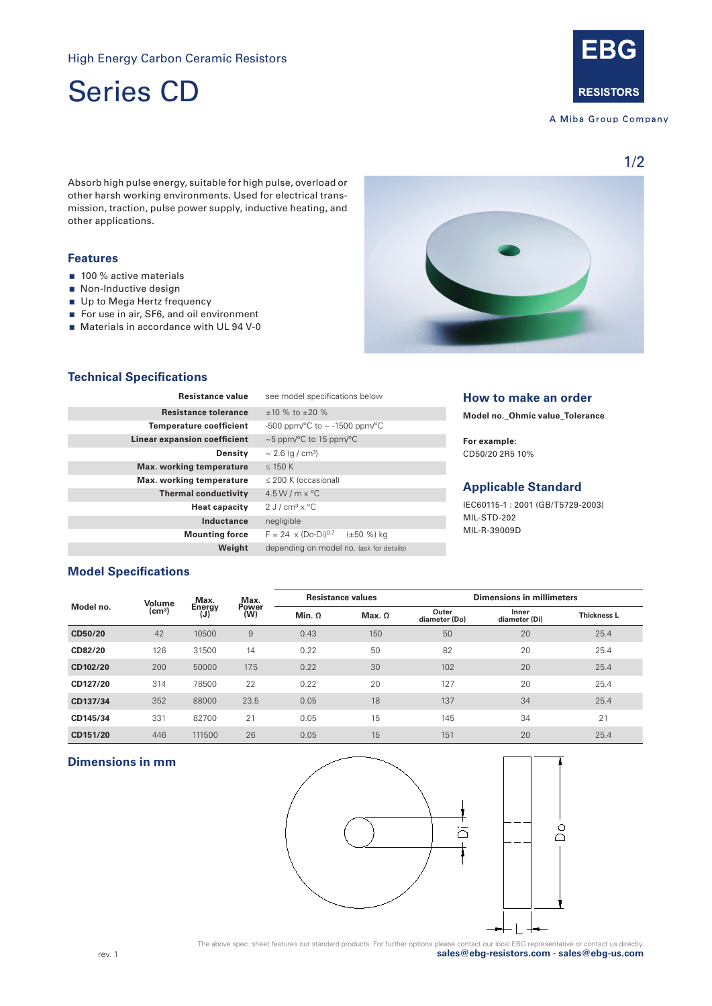Series CD



A Miba Group Company

1/2

Absorb high pulse energy, suitable for high pulse, overload or other harsh working environments. Used for electrical transmission, traction, pulse power supply, inductive heating, and other applications.

## **Features**

- 100 % active materials
- Non-Inductive design
- Up to Mega Hertz frequency
- For use in air, SF6, and oil environment
- Materials in accordance with UL 94 V-0



# **Technical Specifications**

| <b>Resistance value</b>         | see model specifications below                         | How to make an order<br>Model no._Ohmic value_Tolerance |  |  |
|---------------------------------|--------------------------------------------------------|---------------------------------------------------------|--|--|
| <b>Resistance tolerance</b>     | $+10\%$ to $+20\%$                                     |                                                         |  |  |
| <b>Temperature coefficient</b>  | -500 ppm/ $\degree$ C to $\sim$ -1500 ppm/ $\degree$ C |                                                         |  |  |
| Linear expansion coefficient    | $\sim$ 5 ppm/ $\degree$ C to 15 ppm/ $\degree$ C       | For example:                                            |  |  |
| Density                         | $\sim$ 2.6 (g / cm <sup>3</sup> )                      | CD50/20 2R5 10%                                         |  |  |
| <b>Max.</b> working temperature | $\leq$ 150 K                                           |                                                         |  |  |
| Max. working temperature        | $\leq$ 200 K (occasional)                              | <b>Applicable Standard</b>                              |  |  |
| <b>Thermal conductivity</b>     | $4.5 W/m \times C$                                     |                                                         |  |  |
| <b>Heat capacity</b>            | $2$ J / cm <sup>3</sup> x $^{\circ}$ C                 | IEC60115-1:2001 (GB/T5729-2003)                         |  |  |
| Inductance                      | negligible                                             | MIL-STD-202                                             |  |  |
| <b>Mounting force</b>           | $F = 24 \times (Do-Di)^{0.7}$<br>$(\pm 50 \%)$ ka      | MIL-R-39009D                                            |  |  |
| Weight                          | depending on model no. (ask for details)               |                                                         |  |  |

# **Model Specifications**

| Model no. | Volume          | Max.<br>Energy<br>(J) | Max.<br>Power<br>(W) | <b>Resistance values</b> |               | <b>Dimensions in millimeters</b> |                        |                    |
|-----------|-----------------|-----------------------|----------------------|--------------------------|---------------|----------------------------------|------------------------|--------------------|
|           | $\text{(cm}^3)$ |                       |                      | Min. $\Omega$            | Max. $\Omega$ | Outer<br>diameter (Do)           | Inner<br>diameter (Di) | <b>Thickness L</b> |
| CD50/20   | 42              | 10500                 | 9                    | 0.43                     | 150           | 50                               | 20                     | 25.4               |
| CD82/20   | 126             | 31500                 | 14                   | 0.22                     | 50            | 82                               | 20                     | 25.4               |
| CD102/20  | 200             | 50000                 | 17.5                 | 0.22                     | 30            | 102                              | 20                     | 25.4               |
| CD127/20  | 314             | 78500                 | 22                   | 0.22                     | 20            | 127                              | 20                     | 25.4               |
| CD137/34  | 352             | 88000                 | 23.5                 | 0.05                     | 18            | 137                              | 34                     | 25.4               |
| CD145/34  | 331             | 82700                 | 21                   | 0.05                     | 15            | 145                              | 34                     | 21                 |
| CD151/20  | 446             | 111500                | 26                   | 0.05                     | 15            | 151                              | 20                     | 25.4               |

#### **Dimensions in mm**